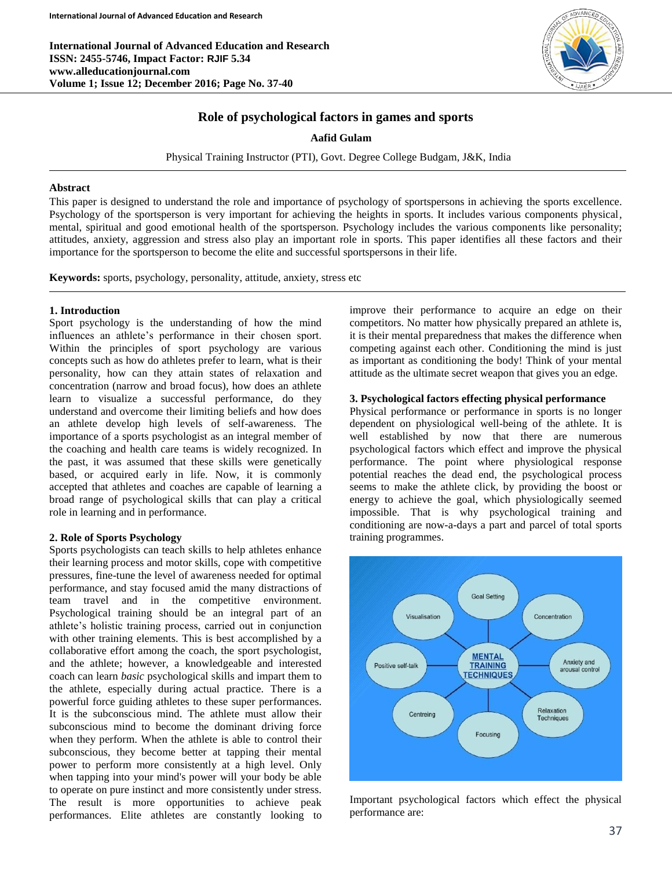**International Journal of Advanced Education and Research ISSN: 2455-5746, Impact Factor: RJIF 5.34 www.alleducationjournal.com Volume 1; Issue 12; December 2016; Page No. 37-40**



# **Role of psychological factors in games and sports**

**Aafid Gulam**

Physical Training Instructor (PTI), Govt. Degree College Budgam, J&K, India

#### **Abstract**

This paper is designed to understand the role and importance of psychology of sportspersons in achieving the sports excellence. Psychology of the sportsperson is very important for achieving the heights in sports. It includes various components physical, mental, spiritual and good emotional health of the sportsperson. Psychology includes the various components like personality; attitudes, anxiety, aggression and stress also play an important role in sports. This paper identifies all these factors and their importance for the sportsperson to become the elite and successful sportspersons in their life.

**Keywords:** sports, psychology, personality, attitude, anxiety, stress etc

# **1. Introduction**

Sport psychology is the understanding of how the mind influences an athlete's performance in their chosen sport. Within the principles of sport psychology are various concepts such as how do athletes prefer to learn, what is their personality, how can they attain states of relaxation and concentration (narrow and broad focus), how does an athlete learn to visualize a successful performance, do they understand and overcome their limiting beliefs and how does an athlete develop high levels of self-awareness. The importance of a sports psychologist as an integral member of the coaching and health care teams is widely recognized. In the past, it was assumed that these skills were genetically based, or acquired early in life. Now, it is commonly accepted that athletes and coaches are capable of learning a broad range of psychological skills that can play a critical role in learning and in performance.

# **2. Role of Sports Psychology**

Sports psychologists can teach skills to help athletes enhance their learning process and motor skills, cope with competitive pressures, fine-tune the level of awareness needed for optimal performance, and stay focused amid the many distractions of team travel and in the competitive environment. Psychological training should be an integral part of an athlete's holistic training process, carried out in conjunction with other training elements. This is best accomplished by a collaborative effort among the coach, the sport psychologist, and the athlete; however, a knowledgeable and interested coach can learn *basic* psychological skills and impart them to the athlete, especially during actual practice. There is a powerful force guiding athletes to these super performances. It is the subconscious mind. The athlete must allow their subconscious mind to become the dominant driving force when they perform. When the athlete is able to control their subconscious, they become better at tapping their mental power to perform more consistently at a high level. Only when tapping into your mind's power will your body be able to operate on pure instinct and more consistently under stress. The result is more opportunities to achieve peak performances. Elite athletes are constantly looking to

improve their performance to acquire an edge on their competitors. No matter how physically prepared an athlete is, it is their mental preparedness that makes the difference when competing against each other. Conditioning the mind is just as important as conditioning the body! Think of your mental attitude as the ultimate secret weapon that gives you an edge.

# **3. Psychological factors effecting physical performance**

Physical performance or performance in sports is no longer dependent on physiological well-being of the athlete. It is well established by now that there are numerous psychological factors which effect and improve the physical performance. The point where physiological response potential reaches the dead end, the psychological process seems to make the athlete click, by providing the boost or energy to achieve the goal, which physiologically seemed impossible. That is why psychological training and conditioning are now-a-days a part and parcel of total sports training programmes.



Important psychological factors which effect the physical performance are: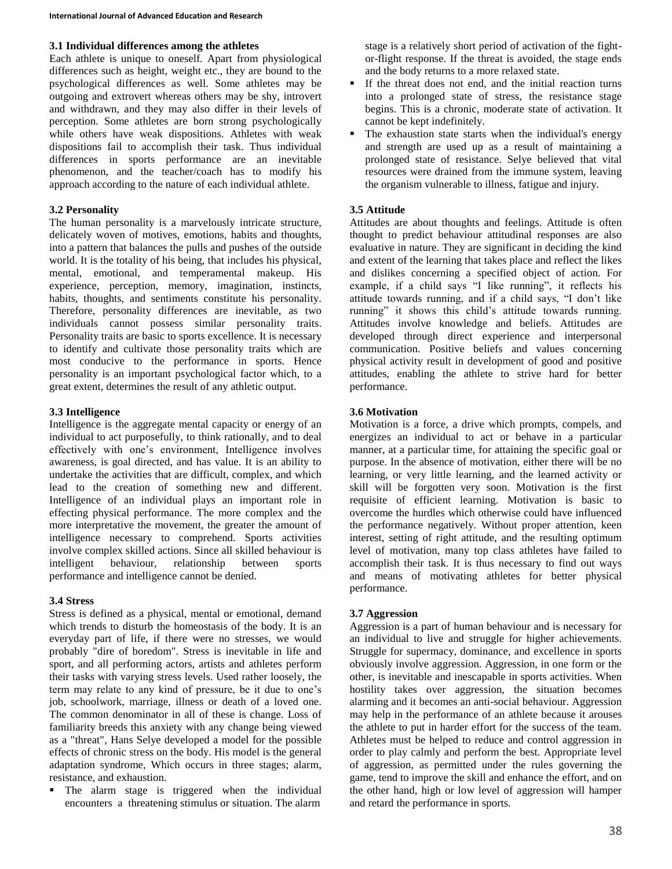#### **3.1 Individual differences among the athletes**

Each athlete is unique to oneself. Apart from physiological differences such as height, weight etc., they are bound to the psychological differences as well. Some athletes may be outgoing and extrovert whereas others may be shy, introvert and withdrawn, and they may also differ in their levels of perception. Some athletes are born strong psychologically while others have weak dispositions. Athletes with weak dispositions fail to accomplish their task. Thus individual differences in sports performance are an inevitable phenomenon, and the teacher/coach has to modify his approach according to the nature of each individual athlete.

#### **3.2 Personality**

The human personality is a marvelously intricate structure, delicately woven of motives, emotions, habits and thoughts, into a pattern that balances the pulls and pushes of the outside world. It is the totality of his being, that includes his physical, mental, emotional, and temperamental makeup. His experience, perception, memory, imagination, instincts, habits, thoughts, and sentiments constitute his personality. Therefore, personality differences are inevitable, as two individuals cannot possess similar personality traits. Personality traits are basic to sports excellence. It is necessary to identify and cultivate those personality traits which are most conducive to the performance in sports. Hence personality is an important psychological factor which, to a great extent, determines the result of any athletic output.

#### **3.3 Intelligence**

Intelligence is the aggregate mental capacity or energy of an individual to act purposefully, to think rationally, and to deal effectively with one's environment, Intelligence involves awareness, is goal directed, and has value. It is an ability to undertake the activities that are difficult, complex, and which lead to the creation of something new and different. Intelligence of an individual plays an important role in effecting physical performance. The more complex and the more interpretative the movement, the greater the amount of intelligence necessary to comprehend. Sports activities involve complex skilled actions. Since all skilled behaviour is intelligent behaviour, relationship between sports performance and intelligence cannot be denied.

# **3.4 Stress**

Stress is defined as a physical, mental or emotional, demand which trends to disturb the homeostasis of the body. It is an everyday part of life, if there were no stresses, we would probably "dire of boredom". Stress is inevitable in life and sport, and all performing actors, artists and athletes perform their tasks with varying stress levels. Used rather loosely, the term may relate to any kind of pressure, be it due to one's job, schoolwork, marriage, illness or death of a loved one. The common denominator in all of these is change. Loss of familiarity breeds this anxiety with any change being viewed as a "threat", Hans Selye developed a model for the possible effects of chronic stress on the body. His model is the general adaptation syndrome, Which occurs in three stages; alarm, resistance, and exhaustion.

The alarm stage is triggered when the individual encounters a threatening stimulus or situation. The alarm

stage is a relatively short period of activation of the fightor-flight response. If the threat is avoided, the stage ends and the body returns to a more relaxed state.

- If the threat does not end, and the initial reaction turns into a prolonged state of stress, the resistance stage begins. This is a chronic, moderate state of activation. It cannot be kept indefinitely.
- The exhaustion state starts when the individual's energy and strength are used up as a result of maintaining a prolonged state of resistance. Selye believed that vital resources were drained from the immune system, leaving the organism vulnerable to illness, fatigue and injury.

# **3.5 Attitude**

Attitudes are about thoughts and feelings. Attitude is often thought to predict behaviour attitudinal responses are also evaluative in nature. They are significant in deciding the kind and extent of the learning that takes place and reflect the likes and dislikes concerning a specified object of action. For example, if a child says "I like running", it reflects his attitude towards running, and if a child says, "I don't like running" it shows this child's attitude towards running. Attitudes involve knowledge and beliefs. Attitudes are developed through direct experience and interpersonal communication. Positive beliefs and values concerning physical activity result in development of good and positive attitudes, enabling the athlete to strive hard for better performance.

# **3.6 Motivation**

Motivation is a force, a drive which prompts, compels, and energizes an individual to act or behave in a particular manner, at a particular time, for attaining the specific goal or purpose. In the absence of motivation, either there will be no learning, or very little learning, and the learned activity or skill will be forgotten very soon. Motivation is the first requisite of efficient learning. Motivation is basic to overcome the hurdles which otherwise could have influenced the performance negatively. Without proper attention, keen interest, setting of right attitude, and the resulting optimum level of motivation, many top class athletes have failed to accomplish their task. It is thus necessary to find out ways and means of motivating athletes for better physical performance.

# **3.7 Aggression**

Aggression is a part of human behaviour and is necessary for an individual to live and struggle for higher achievements. Struggle for supermacy, dominance, and excellence in sports obviously involve aggression. Aggression, in one form or the other, is inevitable and inescapable in sports activities. When hostility takes over aggression, the situation becomes alarming and it becomes an anti-social behaviour. Aggression may help in the performance of an athlete because it arouses the athlete to put in harder effort for the success of the team. Athletes must be helped to reduce and control aggression in order to play calmly and perform the best. Appropriate level of aggression, as permitted under the rules governing the game, tend to improve the skill and enhance the effort, and on the other hand, high or low level of aggression will hamper and retard the performance in sports.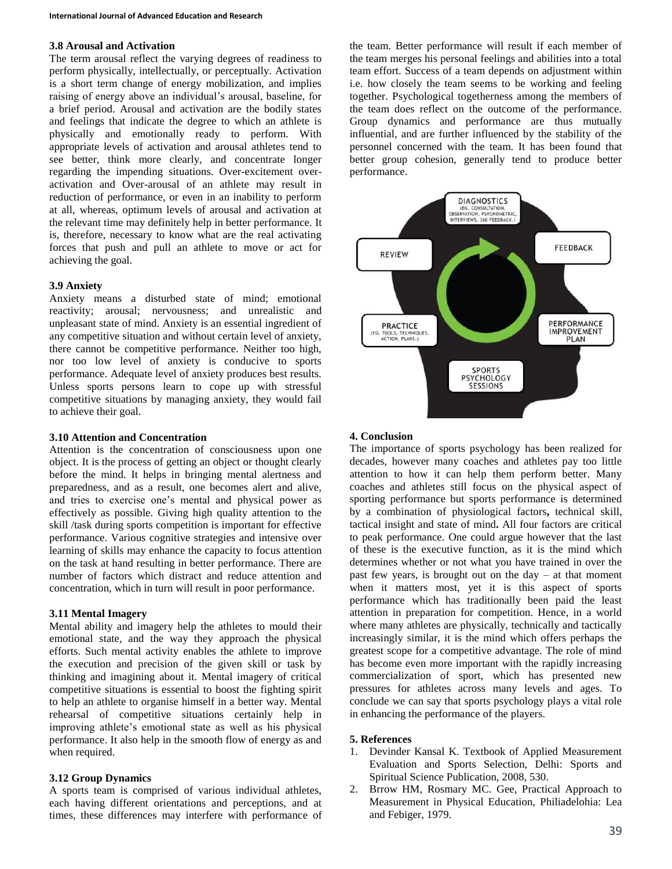#### **3.8 Arousal and Activation**

The term arousal reflect the varying degrees of readiness to perform physically, intellectually, or perceptually. Activation is a short term change of energy mobilization, and implies raising of energy above an individual's arousal, baseline, for a brief period. Arousal and activation are the bodily states and feelings that indicate the degree to which an athlete is physically and emotionally ready to perform. With appropriate levels of activation and arousal athletes tend to see better, think more clearly, and concentrate longer regarding the impending situations. Over-excitement overactivation and Over-arousal of an athlete may result in reduction of performance, or even in an inability to perform at all, whereas, optimum levels of arousal and activation at the relevant time may definitely help in better performance. It is, therefore, necessary to know what are the real activating forces that push and pull an athlete to move or act for achieving the goal.

#### **3.9 Anxiety**

Anxiety means a disturbed state of mind; emotional reactivity; arousal; nervousness; and unrealistic and unpleasant state of mind. Anxiety is an essential ingredient of any competitive situation and without certain level of anxiety, there cannot be competitive performance. Neither too high, nor too low level of anxiety is conducive to sports performance. Adequate level of anxiety produces best results. Unless sports persons learn to cope up with stressful competitive situations by managing anxiety, they would fail to achieve their goal.

#### **3.10 Attention and Concentration**

Attention is the concentration of consciousness upon one object. It is the process of getting an object or thought clearly before the mind. It helps in bringing mental alertness and preparedness, and as a result, one becomes alert and alive, and tries to exercise one's mental and physical power as effectively as possible. Giving high quality attention to the skill /task during sports competition is important for effective performance. Various cognitive strategies and intensive over learning of skills may enhance the capacity to focus attention on the task at hand resulting in better performance. There are number of factors which distract and reduce attention and concentration, which in turn will result in poor performance.

#### **3.11 Mental Imagery**

Mental ability and imagery help the athletes to mould their emotional state, and the way they approach the physical efforts. Such mental activity enables the athlete to improve the execution and precision of the given skill or task by thinking and imagining about it. Mental imagery of critical competitive situations is essential to boost the fighting spirit to help an athlete to organise himself in a better way. Mental rehearsal of competitive situations certainly help in improving athlete's emotional state as well as his physical performance. It also help in the smooth flow of energy as and when required.

#### **3.12 Group Dynamics**

A sports team is comprised of various individual athletes, each having different orientations and perceptions, and at times, these differences may interfere with performance of the team. Better performance will result if each member of the team merges his personal feelings and abilities into a total team effort. Success of a team depends on adjustment within i.e. how closely the team seems to be working and feeling together. Psychological togetherness among the members of the team does reflect on the outcome of the performance. Group dynamics and performance are thus mutually influential, and are further influenced by the stability of the personnel concerned with the team. It has been found that better group cohesion, generally tend to produce better performance.



# **4. Conclusion**

The importance of sports psychology has been realized for decades, however many coaches and athletes pay too little attention to how it can help them perform better. Many coaches and athletes still focus on the physical aspect of sporting performance but sports performance is determined by a combination of physiological factors**,** technical skill, tactical insight and state of mind**.** All four factors are critical to peak performance. One could argue however that the last of these is the executive function, as it is the mind which determines whether or not what you have trained in over the past few years, is brought out on the day  $-$  at that moment when it matters most, yet it is this aspect of sports performance which has traditionally been paid the least attention in preparation for competition. Hence, in a world where many athletes are physically, technically and tactically increasingly similar, it is the mind which offers perhaps the greatest scope for a competitive advantage. The role of mind has become even more important with the rapidly increasing commercialization of sport, which has presented new pressures for athletes across many levels and ages. To conclude we can say that sports psychology plays a vital role in enhancing the performance of the players.

# **5. References**

- 1. Devinder Kansal K. Textbook of Applied Measurement Evaluation and Sports Selection, Delhi: Sports and Spiritual Science Publication, 2008, 530.
- 2. Brrow HM, Rosmary MC. Gee, Practical Approach to Measurement in Physical Education, Philiadelohia: Lea and Febiger, 1979.